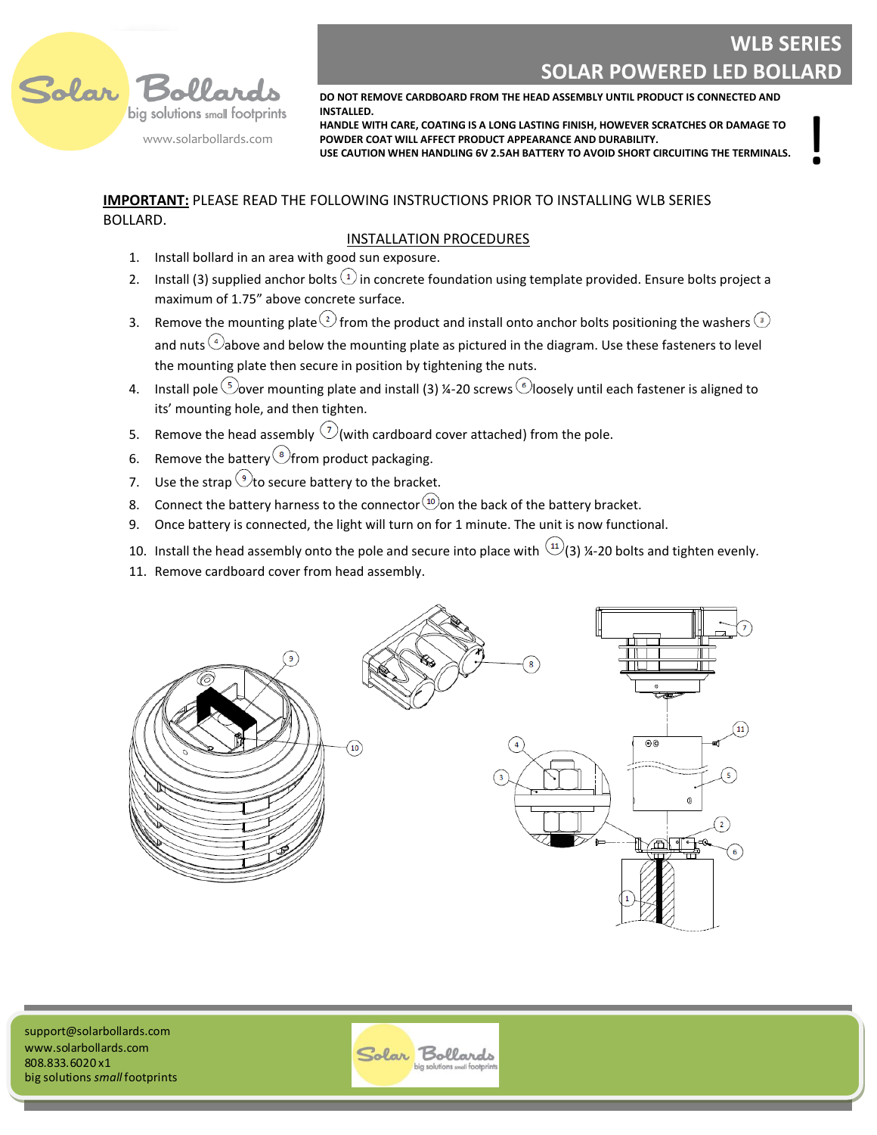

## **WLB SERIES SOLAR POWERED LED BOLLARD**

!

**DO NOT REMOVE CARDBOARD FROM THE HEAD ASSEMBLY UNTIL PRODUCT IS CONNECTED AND INSTALLED.**

**HANDLE WITH CARE, COATING IS A LONG LASTING FINISH, HOWEVER SCRATCHES OR DAMAGE TO POWDER COAT WILL AFFECT PRODUCT APPEARANCE AND DURABILITY.**

**USE CAUTION WHEN HANDLING 6V 2.5AH BATTERY TO AVOID SHORT CIRCUITING THE TERMINALS.**

### **IMPORTANT:** PLEASE READ THE FOLLOWING INSTRUCTIONS PRIOR TO INSTALLING WLB SERIES BOLLARD.

### INSTALLATION PROCEDURES

- 1. Install bollard in an area with good sun exposure.
- 2. Install (3) supplied anchor bolts  $\Omega$  in concrete foundation using template provided. Ensure bolts project a maximum of 1.75" above concrete surface.
- 3. Remove the mounting plate  $\overline{2}$  from the product and install onto anchor bolts positioning the washers  $\overline{3}$ and nuts  $\overset{4}{\rightarrow}$ above and below the mounting plate as pictured in the diagram. Use these fasteners to level the mounting plate then secure in position by tightening the nuts.
- 4. Install pole  $\odot$  over mounting plate and install (3) ¼-20 screws  $\odot$  loosely until each fastener is aligned to its' mounting hole, and then tighten.
- 5. Remove the head assembly  $\bigcirc$  (with cardboard cover attached) from the pole.
- 6. Remove the battery  $\circledast$  from product packaging.
- 7. Use the strap  $\odot$  to secure battery to the bracket.
- 8. Connect the battery harness to the connector  $\omega$  on the back of the battery bracket.
- 9. Once battery is connected, the light will turn on for 1 minute. The unit is now functional.
- 10. Install the head assembly onto the pole and secure into place with  $(1)$  (3) ¼-20 bolts and tighten evenly.
- 11. Remove cardboard cover from head assembly.



**Victoria, BC Canada**  www.solarbollards.com support@solarbollards.com 808.833.6020 x1